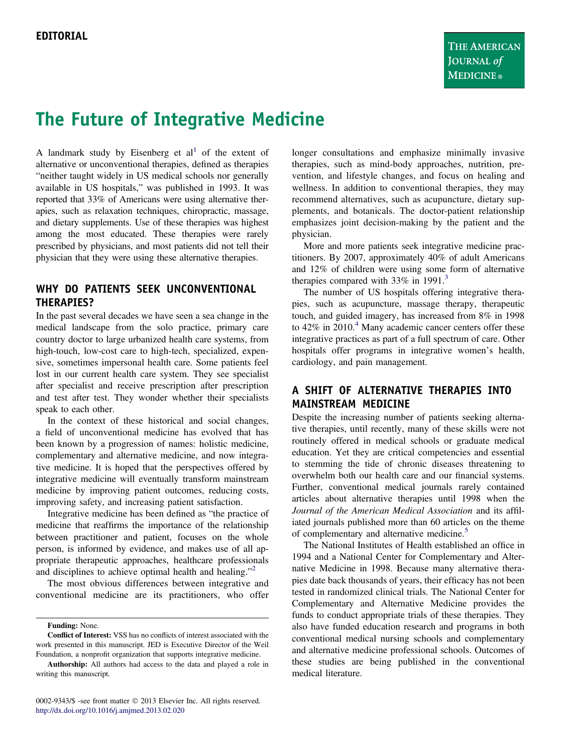# The Future of Integrative Medicine

A landmark study by Eisenberg et  $al<sup>1</sup>$  $al<sup>1</sup>$  $al<sup>1</sup>$  of the extent of alternative or unconventional therapies, defined as therapies "neither taught widely in US medical schools nor generally available in US hospitals," was published in 1993. It was reported that 33% of Americans were using alternative therapies, such as relaxation techniques, chiropractic, massage, and dietary supplements. Use of these therapies was highest among the most educated. These therapies were rarely prescribed by physicians, and most patients did not tell their physician that they were using these alternative therapies.

### WHY DO PATIENTS SEEK UNCONVENTIONAL THERAPIES?

In the past several decades we have seen a sea change in the medical landscape from the solo practice, primary care country doctor to large urbanized health care systems, from high-touch, low-cost care to high-tech, specialized, expensive, sometimes impersonal health care. Some patients feel lost in our current health care system. They see specialist after specialist and receive prescription after prescription and test after test. They wonder whether their specialists speak to each other.

In the context of these historical and social changes, a field of unconventional medicine has evolved that has been known by a progression of names: holistic medicine, complementary and alternative medicine, and now integrative medicine. It is hoped that the perspectives offered by integrative medicine will eventually transform mainstream medicine by improving patient outcomes, reducing costs, improving safety, and increasing patient satisfaction.

Integrative medicine has been defined as "the practice of medicine that reaffirms the importance of the relationship between practitioner and patient, focuses on the whole person, is informed by evidence, and makes use of all appropriate therapeutic approaches, healthcare professionals and disciplines to achieve optimal health and healing."<sup>[2](#page-1-0)</sup>

The most obvious differences between integrative and conventional medicine are its practitioners, who offer

0002-9343/\$ -see front matter © 2013 Elsevier Inc. All rights reserved. <http://dx.doi.org/10.1016/j.amjmed.2013.02.020>

longer consultations and emphasize minimally invasive therapies, such as mind-body approaches, nutrition, prevention, and lifestyle changes, and focus on healing and wellness. In addition to conventional therapies, they may recommend alternatives, such as acupuncture, dietary supplements, and botanicals. The doctor-patient relationship emphasizes joint decision-making by the patient and the physician.

More and more patients seek integrative medicine practitioners. By 2007, approximately 40% of adult Americans and 12% of children were using some form of alternative therapies compared with  $33\%$  $33\%$  in 1991.<sup>3</sup>

The number of US hospitals offering integrative therapies, such as acupuncture, massage therapy, therapeutic touch, and guided imagery, has increased from 8% in 1998 to  $42\%$  $42\%$  in 2010.<sup>4</sup> Many academic cancer centers offer these integrative practices as part of a full spectrum of care. Other hospitals offer programs in integrative women's health, cardiology, and pain management.

## A SHIFT OF ALTERNATIVE THERAPIES INTO MAINSTREAM MEDICINE

Despite the increasing number of patients seeking alternative therapies, until recently, many of these skills were not routinely offered in medical schools or graduate medical education. Yet they are critical competencies and essential to stemming the tide of chronic diseases threatening to overwhelm both our health care and our financial systems. Further, conventional medical journals rarely contained articles about alternative therapies until 1998 when the Journal of the American Medical Association and its affiliated journals published more than 60 articles on the theme of complementary and alternative medicine.<sup>[5](#page-1-0)</sup>

The National Institutes of Health established an office in 1994 and a National Center for Complementary and Alternative Medicine in 1998. Because many alternative therapies date back thousands of years, their efficacy has not been tested in randomized clinical trials. The National Center for Complementary and Alternative Medicine provides the funds to conduct appropriate trials of these therapies. They also have funded education research and programs in both conventional medical nursing schools and complementary and alternative medicine professional schools. Outcomes of these studies are being published in the conventional medical literature.

Funding: None.

Conflict of Interest: VSS has no conflicts of interest associated with the work presented in this manuscript. JED is Executive Director of the Weil Foundation, a nonprofit organization that supports integrative medicine.

Authorship: All authors had access to the data and played a role in writing this manuscript.